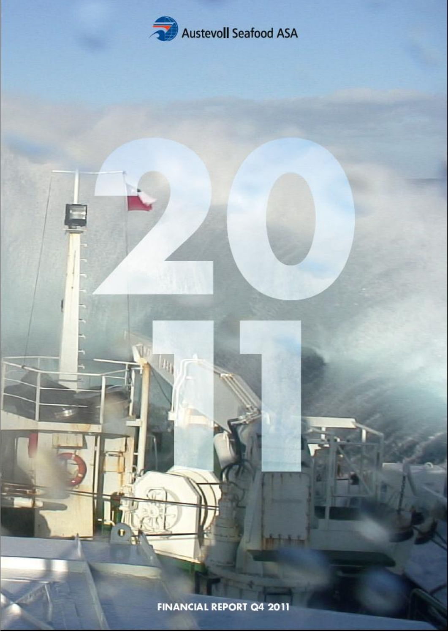

Financial Report Q4 2011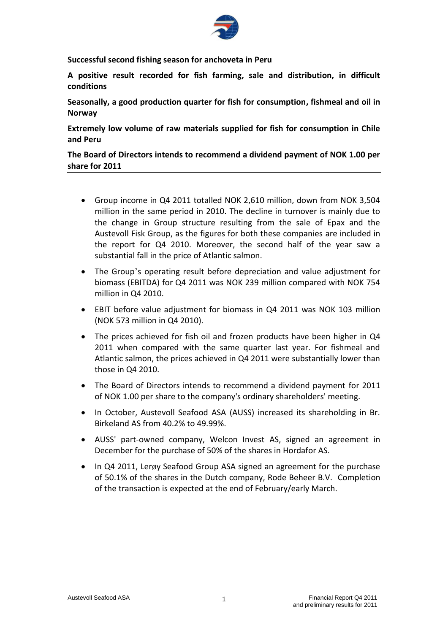

**Successful second fishing season for anchoveta in Peru**

**A positive result recorded for fish farming, sale and distribution, in difficult conditions**

**Seasonally, a good production quarter for fish for consumption, fishmeal and oil in Norway**

**Extremely low volume of raw materials supplied for fish for consumption in Chile and Peru**

**The Board of Directors intends to recommend a dividend payment of NOK 1.00 per share for 2011**

- Group income in Q4 2011 totalled NOK 2,610 million, down from NOK 3,504 million in the same period in 2010. The decline in turnover is mainly due to the change in Group structure resulting from the sale of Epax and the Austevoll Fisk Group, as the figures for both these companies are included in the report for Q4 2010. Moreover, the second half of the year saw a substantial fall in the price of Atlantic salmon.
- The Group's operating result before depreciation and value adjustment for biomass (EBITDA) for Q4 2011 was NOK 239 million compared with NOK 754 million in Q4 2010.
- EBIT before value adjustment for biomass in Q4 2011 was NOK 103 million (NOK 573 million in Q4 2010).
- The prices achieved for fish oil and frozen products have been higher in Q4 2011 when compared with the same quarter last year. For fishmeal and Atlantic salmon, the prices achieved in Q4 2011 were substantially lower than those in Q4 2010.
- The Board of Directors intends to recommend a dividend payment for 2011 of NOK 1.00 per share to the company's ordinary shareholders' meeting.
- In October, Austevoll Seafood ASA (AUSS) increased its shareholding in Br. Birkeland AS from 40.2% to 49.99%.
- AUSS' part-owned company, Welcon Invest AS, signed an agreement in December for the purchase of 50% of the shares in Hordafor AS.
- In Q4 2011, Lerøy Seafood Group ASA signed an agreement for the purchase of 50.1% of the shares in the Dutch company, Rode Beheer B.V. Completion of the transaction is expected at the end of February/early March.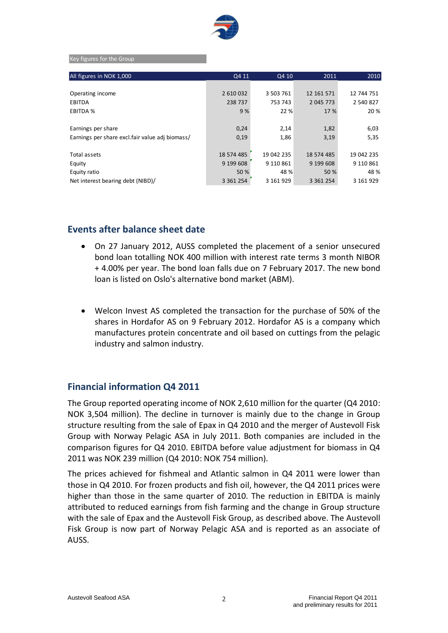

#### Key figures for the Group

| All figures in NOK 1,000                        | Q4 11         | Q4 10      | 2011          | 2010       |
|-------------------------------------------------|---------------|------------|---------------|------------|
|                                                 |               |            |               |            |
| Operating income                                | 2 610 032     | 3 503 761  | 12 161 571    | 12 744 751 |
| EBITDA                                          | 238 737       | 753 743    | 2 045 773     | 2 540 827  |
| EBITDA %                                        | 9%            | 22 %       | 17 %          | 20 %       |
|                                                 |               |            |               |            |
| Earnings per share                              | 0,24          | 2,14       | 1,82          | 6,03       |
| Earnings per share excl.fair value adj biomass/ | 0,19          | 1,86       | 3,19          | 5,35       |
|                                                 |               |            |               |            |
| Total assets                                    | 18 574 485    | 19 042 235 | 18 574 485    | 19 042 235 |
| Equity                                          | 9 199 608     | 9 110 861  | 9 199 608     | 9 110 861  |
| Equity ratio                                    | 50 %          | 48 %       | 50 %          | 48 %       |
| Net interest bearing debt (NIBD)/               | 3 3 6 1 2 5 4 | 3 161 929  | 3 3 6 1 2 5 4 | 3 161 929  |

## **Events after balance sheet date**

- On 27 January 2012, AUSS completed the placement of a senior unsecured bond loan totalling NOK 400 million with interest rate terms 3 month NIBOR + 4.00% per year. The bond loan falls due on 7 February 2017. The new bond loan is listed on Oslo's alternative bond market (ABM).
- Welcon Invest AS completed the transaction for the purchase of 50% of the shares in Hordafor AS on 9 February 2012. Hordafor AS is a company which manufactures protein concentrate and oil based on cuttings from the pelagic industry and salmon industry.

## **Financial information Q4 2011**

The Group reported operating income of NOK 2,610 million for the quarter (Q4 2010: NOK 3,504 million). The decline in turnover is mainly due to the change in Group structure resulting from the sale of Epax in Q4 2010 and the merger of Austevoll Fisk Group with Norway Pelagic ASA in July 2011. Both companies are included in the comparison figures for Q4 2010. EBITDA before value adjustment for biomass in Q4 2011 was NOK 239 million (Q4 2010: NOK 754 million).

The prices achieved for fishmeal and Atlantic salmon in Q4 2011 were lower than those in Q4 2010. For frozen products and fish oil, however, the Q4 2011 prices were higher than those in the same quarter of 2010. The reduction in EBITDA is mainly attributed to reduced earnings from fish farming and the change in Group structure with the sale of Epax and the Austevoll Fisk Group, as described above. The Austevoll Fisk Group is now part of Norway Pelagic ASA and is reported as an associate of AUSS.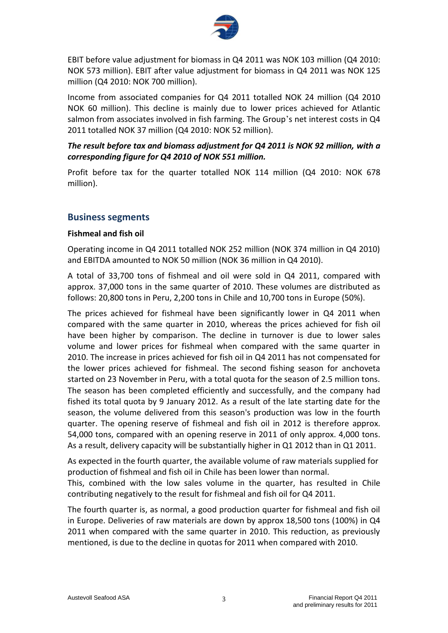

EBIT before value adjustment for biomass in Q4 2011 was NOK 103 million (Q4 2010: NOK 573 million). EBIT after value adjustment for biomass in Q4 2011 was NOK 125 million (Q4 2010: NOK 700 million).

Income from associated companies for Q4 2011 totalled NOK 24 million (Q4 2010 NOK 60 million). This decline is mainly due to lower prices achieved for Atlantic salmon from associates involved in fish farming. The Group's net interest costs in Q4 2011 totalled NOK 37 million (Q4 2010: NOK 52 million).

# *The result before tax and biomass adjustment for Q4 2011 is NOK 92 million, with a corresponding figure for Q4 2010 of NOK 551 million.*

Profit before tax for the quarter totalled NOK 114 million (Q4 2010: NOK 678 million).

# **Business segments**

#### **Fishmeal and fish oil**

Operating income in Q4 2011 totalled NOK 252 million (NOK 374 million in Q4 2010) and EBITDA amounted to NOK 50 million (NOK 36 million in Q4 2010).

A total of 33,700 tons of fishmeal and oil were sold in Q4 2011, compared with approx. 37,000 tons in the same quarter of 2010. These volumes are distributed as follows: 20,800 tons in Peru, 2,200 tons in Chile and 10,700 tons in Europe (50%).

The prices achieved for fishmeal have been significantly lower in Q4 2011 when compared with the same quarter in 2010, whereas the prices achieved for fish oil have been higher by comparison. The decline in turnover is due to lower sales volume and lower prices for fishmeal when compared with the same quarter in 2010. The increase in prices achieved for fish oil in Q4 2011 has not compensated for the lower prices achieved for fishmeal. The second fishing season for anchoveta started on 23 November in Peru, with a total quota for the season of 2.5 million tons. The season has been completed efficiently and successfully, and the company had fished its total quota by 9 January 2012. As a result of the late starting date for the season, the volume delivered from this season's production was low in the fourth quarter. The opening reserve of fishmeal and fish oil in 2012 is therefore approx. 54,000 tons, compared with an opening reserve in 2011 of only approx. 4,000 tons. As a result, delivery capacity will be substantially higher in Q1 2012 than in Q1 2011.

As expected in the fourth quarter, the available volume of raw materials supplied for production of fishmeal and fish oil in Chile has been lower than normal.

This, combined with the low sales volume in the quarter, has resulted in Chile contributing negatively to the result for fishmeal and fish oil for Q4 2011.

The fourth quarter is, as normal, a good production quarter for fishmeal and fish oil in Europe. Deliveries of raw materials are down by approx 18,500 tons (100%) in Q4 2011 when compared with the same quarter in 2010. This reduction, as previously mentioned, is due to the decline in quotas for 2011 when compared with 2010.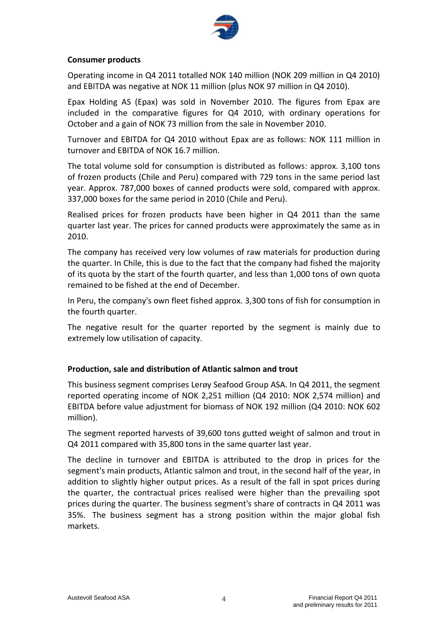

#### **Consumer products**

Operating income in Q4 2011 totalled NOK 140 million (NOK 209 million in Q4 2010) and EBITDA was negative at NOK 11 million (plus NOK 97 million in Q4 2010).

Epax Holding AS (Epax) was sold in November 2010. The figures from Epax are included in the comparative figures for Q4 2010, with ordinary operations for October and a gain of NOK 73 million from the sale in November 2010.

Turnover and EBITDA for Q4 2010 without Epax are as follows: NOK 111 million in turnover and EBITDA of NOK 16.7 million.

The total volume sold for consumption is distributed as follows: approx. 3,100 tons of frozen products (Chile and Peru) compared with 729 tons in the same period last year. Approx. 787,000 boxes of canned products were sold, compared with approx. 337,000 boxes for the same period in 2010 (Chile and Peru).

Realised prices for frozen products have been higher in Q4 2011 than the same quarter last year. The prices for canned products were approximately the same as in 2010.

The company has received very low volumes of raw materials for production during the quarter. In Chile, this is due to the fact that the company had fished the majority of its quota by the start of the fourth quarter, and less than 1,000 tons of own quota remained to be fished at the end of December.

In Peru, the company's own fleet fished approx. 3,300 tons of fish for consumption in the fourth quarter.

The negative result for the quarter reported by the segment is mainly due to extremely low utilisation of capacity.

#### **Production, sale and distribution of Atlantic salmon and trout**

This business segment comprises Lerøy Seafood Group ASA. In Q4 2011, the segment reported operating income of NOK 2,251 million (Q4 2010: NOK 2,574 million) and EBITDA before value adjustment for biomass of NOK 192 million (Q4 2010: NOK 602 million).

The segment reported harvests of 39,600 tons gutted weight of salmon and trout in Q4 2011 compared with 35,800 tons in the same quarter last year.

The decline in turnover and EBITDA is attributed to the drop in prices for the segment's main products, Atlantic salmon and trout, in the second half of the year, in addition to slightly higher output prices. As a result of the fall in spot prices during the quarter, the contractual prices realised were higher than the prevailing spot prices during the quarter. The business segment's share of contracts in Q4 2011 was 35%. The business segment has a strong position within the major global fish markets.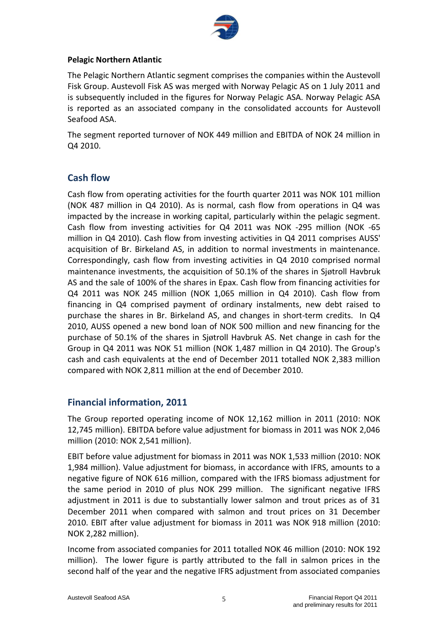

#### **Pelagic Northern Atlantic**

The Pelagic Northern Atlantic segment comprises the companies within the Austevoll Fisk Group. Austevoll Fisk AS was merged with Norway Pelagic AS on 1 July 2011 and is subsequently included in the figures for Norway Pelagic ASA. Norway Pelagic ASA is reported as an associated company in the consolidated accounts for Austevoll Seafood ASA.

The segment reported turnover of NOK 449 million and EBITDA of NOK 24 million in Q4 2010.

# **Cash flow**

Cash flow from operating activities for the fourth quarter 2011 was NOK 101 million (NOK 487 million in Q4 2010). As is normal, cash flow from operations in Q4 was impacted by the increase in working capital, particularly within the pelagic segment. Cash flow from investing activities for Q4 2011 was NOK -295 million (NOK -65 million in Q4 2010). Cash flow from investing activities in Q4 2011 comprises AUSS' acquisition of Br. Birkeland AS, in addition to normal investments in maintenance. Correspondingly, cash flow from investing activities in Q4 2010 comprised normal maintenance investments, the acquisition of 50.1% of the shares in Sjøtroll Havbruk AS and the sale of 100% of the shares in Epax. Cash flow from financing activities for Q4 2011 was NOK 245 million (NOK 1,065 million in Q4 2010). Cash flow from financing in Q4 comprised payment of ordinary instalments, new debt raised to purchase the shares in Br. Birkeland AS, and changes in short-term credits. In Q4 2010, AUSS opened a new bond loan of NOK 500 million and new financing for the purchase of 50.1% of the shares in Sjøtroll Havbruk AS. Net change in cash for the Group in Q4 2011 was NOK 51 million (NOK 1,487 million in Q4 2010). The Group's cash and cash equivalents at the end of December 2011 totalled NOK 2,383 million compared with NOK 2,811 million at the end of December 2010.

# **Financial information, 2011**

The Group reported operating income of NOK 12,162 million in 2011 (2010: NOK 12,745 million). EBITDA before value adjustment for biomass in 2011 was NOK 2,046 million (2010: NOK 2,541 million).

EBIT before value adjustment for biomass in 2011 was NOK 1,533 million (2010: NOK 1,984 million). Value adjustment for biomass, in accordance with IFRS, amounts to a negative figure of NOK 616 million, compared with the IFRS biomass adjustment for the same period in 2010 of plus NOK 299 million. The significant negative IFRS adjustment in 2011 is due to substantially lower salmon and trout prices as of 31 December 2011 when compared with salmon and trout prices on 31 December 2010. EBIT after value adjustment for biomass in 2011 was NOK 918 million (2010: NOK 2,282 million).

Income from associated companies for 2011 totalled NOK 46 million (2010: NOK 192 million). The lower figure is partly attributed to the fall in salmon prices in the second half of the year and the negative IFRS adjustment from associated companies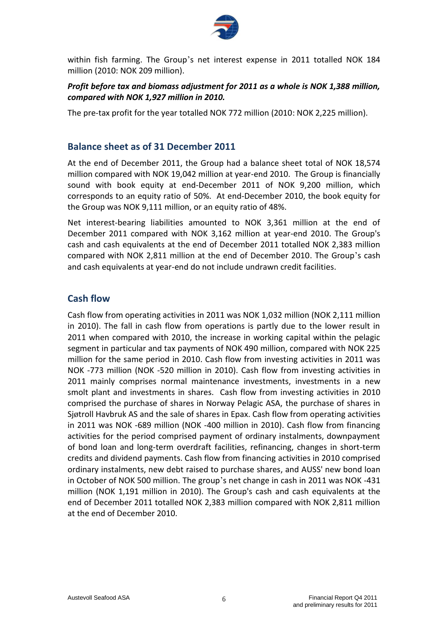

within fish farming. The Group's net interest expense in 2011 totalled NOK 184 million (2010: NOK 209 million).

# *Profit before tax and biomass adjustment for 2011 as a whole is NOK 1,388 million, compared with NOK 1,927 million in 2010.*

The pre-tax profit for the year totalled NOK 772 million (2010: NOK 2,225 million).

# **Balance sheet as of 31 December 2011**

At the end of December 2011, the Group had a balance sheet total of NOK 18,574 million compared with NOK 19,042 million at year-end 2010. The Group is financially sound with book equity at end-December 2011 of NOK 9,200 million, which corresponds to an equity ratio of 50%. At end-December 2010, the book equity for the Group was NOK 9,111 million, or an equity ratio of 48%.

Net interest-bearing liabilities amounted to NOK 3,361 million at the end of December 2011 compared with NOK 3,162 million at year-end 2010. The Group's cash and cash equivalents at the end of December 2011 totalled NOK 2,383 million compared with NOK 2,811 million at the end of December 2010. The Group's cash and cash equivalents at year-end do not include undrawn credit facilities.

# **Cash flow**

Cash flow from operating activities in 2011 was NOK 1,032 million (NOK 2,111 million in 2010). The fall in cash flow from operations is partly due to the lower result in 2011 when compared with 2010, the increase in working capital within the pelagic segment in particular and tax payments of NOK 490 million, compared with NOK 225 million for the same period in 2010. Cash flow from investing activities in 2011 was NOK -773 million (NOK -520 million in 2010). Cash flow from investing activities in 2011 mainly comprises normal maintenance investments, investments in a new smolt plant and investments in shares. Cash flow from investing activities in 2010 comprised the purchase of shares in Norway Pelagic ASA, the purchase of shares in Sjøtroll Havbruk AS and the sale of shares in Epax. Cash flow from operating activities in 2011 was NOK -689 million (NOK -400 million in 2010). Cash flow from financing activities for the period comprised payment of ordinary instalments, downpayment of bond loan and long-term overdraft facilities, refinancing, changes in short-term credits and dividend payments. Cash flow from financing activities in 2010 comprised ordinary instalments, new debt raised to purchase shares, and AUSS' new bond loan in October of NOK 500 million. The group's net change in cash in 2011 was NOK -431 million (NOK 1,191 million in 2010). The Group's cash and cash equivalents at the end of December 2011 totalled NOK 2,383 million compared with NOK 2,811 million at the end of December 2010.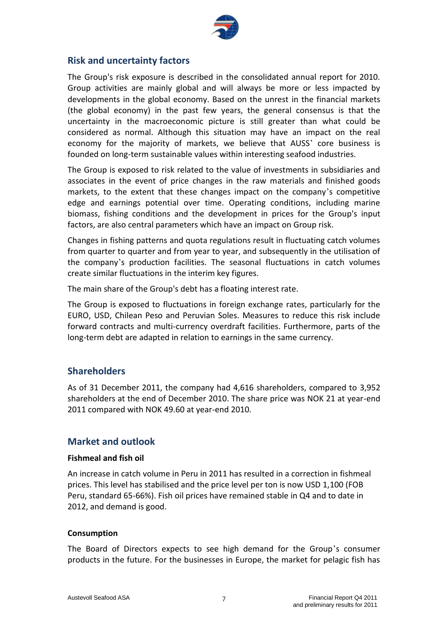

# **Risk and uncertainty factors**

The Group's risk exposure is described in the consolidated annual report for 2010. Group activities are mainly global and will always be more or less impacted by developments in the global economy. Based on the unrest in the financial markets (the global economy) in the past few years, the general consensus is that the uncertainty in the macroeconomic picture is still greater than what could be considered as normal. Although this situation may have an impact on the real economy for the majority of markets, we believe that AUSS' core business is founded on long-term sustainable values within interesting seafood industries.

The Group is exposed to risk related to the value of investments in subsidiaries and associates in the event of price changes in the raw materials and finished goods markets, to the extent that these changes impact on the company's competitive edge and earnings potential over time. Operating conditions, including marine biomass, fishing conditions and the development in prices for the Group's input factors, are also central parameters which have an impact on Group risk.

Changes in fishing patterns and quota regulations result in fluctuating catch volumes from quarter to quarter and from year to year, and subsequently in the utilisation of the company's production facilities. The seasonal fluctuations in catch volumes create similar fluctuations in the interim key figures.

The main share of the Group's debt has a floating interest rate.

The Group is exposed to fluctuations in foreign exchange rates, particularly for the EURO, USD, Chilean Peso and Peruvian Soles. Measures to reduce this risk include forward contracts and multi-currency overdraft facilities. Furthermore, parts of the long-term debt are adapted in relation to earnings in the same currency.

# **Shareholders**

As of 31 December 2011, the company had 4,616 shareholders, compared to 3,952 shareholders at the end of December 2010. The share price was NOK 21 at year-end 2011 compared with NOK 49.60 at year-end 2010.

# **Market and outlook**

#### **Fishmeal and fish oil**

An increase in catch volume in Peru in 2011 has resulted in a correction in fishmeal prices. This level has stabilised and the price level per ton is now USD 1,100 (FOB Peru, standard 65-66%). Fish oil prices have remained stable in Q4 and to date in 2012, and demand is good.

#### **Consumption**

The Board of Directors expects to see high demand for the Group's consumer products in the future. For the businesses in Europe, the market for pelagic fish has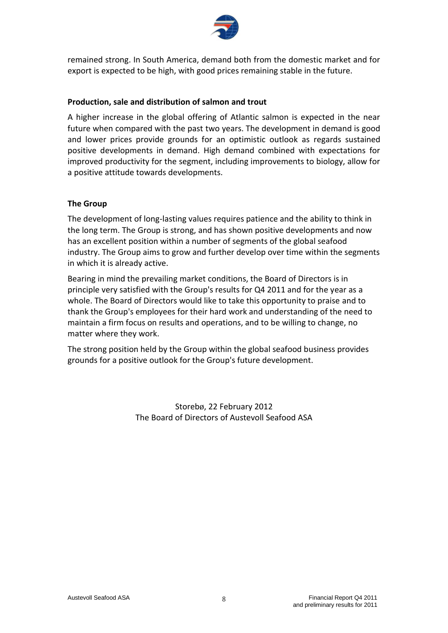

remained strong. In South America, demand both from the domestic market and for export is expected to be high, with good prices remaining stable in the future.

### **Production, sale and distribution of salmon and trout**

A higher increase in the global offering of Atlantic salmon is expected in the near future when compared with the past two years. The development in demand is good and lower prices provide grounds for an optimistic outlook as regards sustained positive developments in demand. High demand combined with expectations for improved productivity for the segment, including improvements to biology, allow for a positive attitude towards developments.

### **The Group**

The development of long-lasting values requires patience and the ability to think in the long term. The Group is strong, and has shown positive developments and now has an excellent position within a number of segments of the global seafood industry. The Group aims to grow and further develop over time within the segments in which it is already active.

Bearing in mind the prevailing market conditions, the Board of Directors is in principle very satisfied with the Group's results for Q4 2011 and for the year as a whole. The Board of Directors would like to take this opportunity to praise and to thank the Group's employees for their hard work and understanding of the need to maintain a firm focus on results and operations, and to be willing to change, no matter where they work.

The strong position held by the Group within the global seafood business provides grounds for a positive outlook for the Group's future development.

> Storebø, 22 February 2012 The Board of Directors of Austevoll Seafood ASA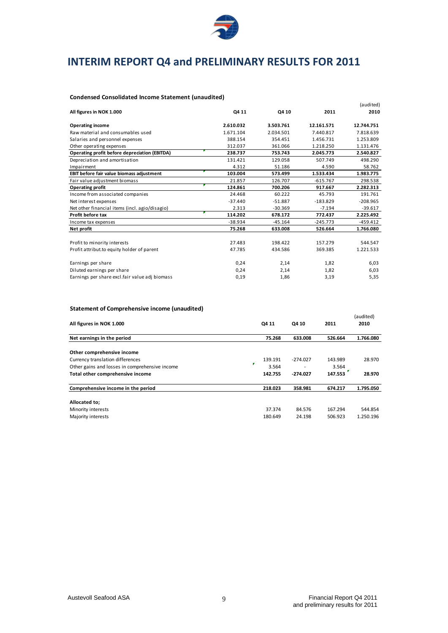

# **INTERIM REPORT Q4 and PRELIMINARY RESULTS FOR 2011**

#### **Condensed Consolidated Income Statement (unaudited)**

|                                                |           |           |            | (audited)  |
|------------------------------------------------|-----------|-----------|------------|------------|
| All figures in NOK 1.000                       | Q4 11     | Q4 10     | 2011       | 2010       |
| <b>Operating income</b>                        | 2.610.032 | 3.503.761 | 12.161.571 | 12.744.751 |
| Raw material and consumables used              | 1.671.104 | 2.034.501 | 7.440.817  | 7.818.639  |
| Salaries and personnel expenses                | 388.154   | 354.451   | 1.456.731  | 1.253.809  |
| Other operating expenses                       | 312.037   | 361.066   | 1.218.250  | 1.131.476  |
| Operating profit before depreciation (EBITDA)  | 238.737   | 753.743   | 2.045.773  | 2.540.827  |
| Depreciation and amortisation                  | 131.421   | 129.058   | 507.749    | 498.290    |
| Impairment                                     | 4.312     | 51.186    | 4.590      | 58.762     |
| EBIT before fair value biomass adjustment      | 103.004   | 573.499   | 1.533.434  | 1.983.775  |
| Fair value adjustment biomass                  | 21.857    | 126.707   | $-615.767$ | 298.538    |
| <b>Operating profit</b>                        | 124.861   | 700.206   | 917.667    | 2.282.313  |
| Income from associated companies               | 24.468    | 60.222    | 45.793     | 191.761    |
| Net interest expenses                          | $-37.440$ | $-51.887$ | $-183.829$ | $-208.965$ |
| Net other financial items (incl. agio/disagio) | 2.313     | $-30.369$ | $-7.194$   | $-39.617$  |
| Profit before tax                              | 114.202   | 678.172   | 772.437    | 2.225.492  |
| Income tax expenses                            | $-38.934$ | $-45.164$ | $-245.773$ | $-459.412$ |
| Net profit                                     | 75.268    | 633.008   | 526.664    | 1.766.080  |
|                                                |           |           |            |            |
| Profit to minority interests                   | 27.483    | 198.422   | 157.279    | 544.547    |
| Profit attribut.to equity holder of parent     | 47.785    | 434.586   | 369.385    | 1.221.533  |
| Earnings per share                             | 0,24      | 2,14      | 1,82       | 6,03       |
| Diluted earnings per share                     | 0,24      | 2,14      | 1,82       | 6,03       |
| Earnings per share excl.fair value adj biomass | 0,19      | 1,86      | 3,19       | 5,35       |

#### **Statement of Comprehensive income (unaudited)**

| All figures in NOK 1.000                                                                                         | Q4 11                 | Q4 10      | 2011             | (audited)<br>2010 |
|------------------------------------------------------------------------------------------------------------------|-----------------------|------------|------------------|-------------------|
| Net earnings in the period                                                                                       | 75.268                | 633.008    | 526.664          | 1.766.080         |
| Other comprehensive income<br>Currency translation differences<br>Other gains and losses in comprehensive income | 139.191<br>P<br>3.564 | $-274.027$ | 143.989<br>3.564 | 28.970            |
| Total other comprehensive income                                                                                 | 142.755               | $-274.027$ | 147.553          | 28.970            |
| Comprehensive income in the period                                                                               | 218.023               | 358.981    | 674.217          | 1.795.050         |
| Allocated to;                                                                                                    |                       |            |                  |                   |
| Minority interests                                                                                               | 37.374                | 84.576     | 167.294          | 544.854           |
| Majority interests                                                                                               | 180.649               | 24.198     | 506.923          | 1.250.196         |
|                                                                                                                  |                       |            |                  |                   |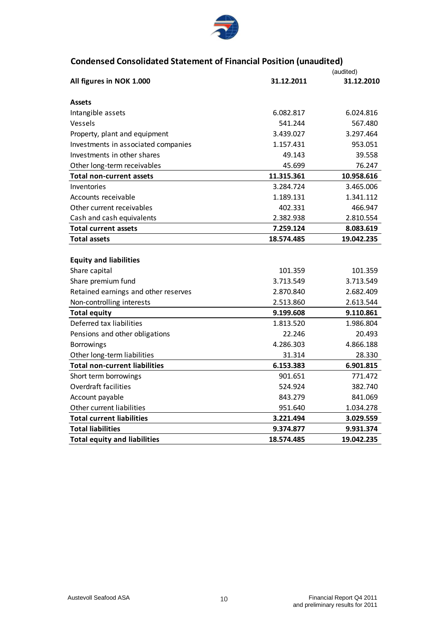

# **Condensed Consolidated Statement of Financial Position (unaudited)**

|                                      |            | (audited)  |
|--------------------------------------|------------|------------|
| All figures in NOK 1.000             | 31.12.2011 | 31.12.2010 |
| <b>Assets</b>                        |            |            |
| Intangible assets                    | 6.082.817  | 6.024.816  |
| Vessels                              | 541.244    | 567.480    |
| Property, plant and equipment        | 3.439.027  | 3.297.464  |
| Investments in associated companies  | 1.157.431  | 953.051    |
| Investments in other shares          | 49.143     | 39.558     |
| Other long-term receivables          | 45.699     | 76.247     |
| <b>Total non-current assets</b>      | 11.315.361 | 10.958.616 |
| Inventories                          | 3.284.724  | 3.465.006  |
| Accounts receivable                  | 1.189.131  | 1.341.112  |
| Other current receivables            | 402.331    | 466.947    |
| Cash and cash equivalents            | 2.382.938  | 2.810.554  |
| <b>Total current assets</b>          | 7.259.124  | 8.083.619  |
| <b>Total assets</b>                  | 18.574.485 | 19.042.235 |
|                                      |            |            |
| <b>Equity and liabilities</b>        |            |            |
| Share capital                        | 101.359    | 101.359    |
| Share premium fund                   | 3.713.549  | 3.713.549  |
| Retained earnings and other reserves | 2.870.840  | 2.682.409  |
| Non-controlling interests            | 2.513.860  | 2.613.544  |
| <b>Total equity</b>                  | 9.199.608  | 9.110.861  |
| Deferred tax liabilities             | 1.813.520  | 1.986.804  |
| Pensions and other obligations       | 22.246     | 20.493     |
| <b>Borrowings</b>                    | 4.286.303  | 4.866.188  |
| Other long-term liabilities          | 31.314     | 28.330     |
| <b>Total non-current liabilities</b> | 6.153.383  | 6.901.815  |
| Short term borrowings                | 901.651    | 771.472    |
| <b>Overdraft facilities</b>          | 524.924    | 382.740    |
| Account payable                      | 843.279    | 841.069    |
| Other current liabilities            | 951.640    | 1.034.278  |
| <b>Total current liabilities</b>     | 3.221.494  | 3.029.559  |
| <b>Total liabilities</b>             | 9.374.877  | 9.931.374  |
| <b>Total equity and liabilities</b>  | 18.574.485 | 19.042.235 |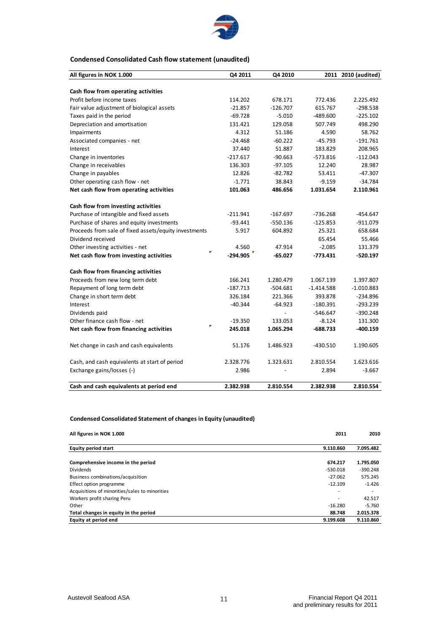

#### **Condensed Consolidated Cash flow statement (unaudited)**

| All figures in NOK 1.000                              | Q4 2011    | Q4 2010    |              | 2011 2010 (audited) |
|-------------------------------------------------------|------------|------------|--------------|---------------------|
|                                                       |            |            |              |                     |
| Cash flow from operating activities                   |            |            |              |                     |
| Profit before income taxes                            | 114.202    | 678.171    | 772.436      | 2.225.492           |
| Fair value adjustment of biological assets            | $-21.857$  | $-126.707$ | 615.767      | $-298.538$          |
| Taxes paid in the period                              | $-69.728$  | $-5.010$   | -489.600     | $-225.102$          |
| Depreciation and amortisation                         | 131.421    | 129.058    | 507.749      | 498.290             |
| Impairments                                           | 4.312      | 51.186     | 4.590        | 58.762              |
| Associated companies - net                            | $-24.468$  | $-60.222$  | $-45.793$    | $-191.761$          |
| Interest                                              | 37.440     | 51.887     | 183.829      | 208.965             |
| Change in inventories                                 | $-217.617$ | $-90.663$  | $-573.816$   | $-112.043$          |
| Change in receivables                                 | 136.303    | $-97.105$  | 12.240       | 28.987              |
| Change in payables                                    | 12.826     | $-82.782$  | 53.411       | $-47.307$           |
| Other operating cash flow - net                       | $-1.771$   | 38.843     | $-9.159$     | $-34.784$           |
| Net cash flow from operating activities               | 101.063    | 486.656    | 1.031.654    | 2.110.961           |
| Cash flow from investing activities                   |            |            |              |                     |
| Purchase of intangible and fixed assets               | $-211.941$ | $-167.697$ | $-736.268$   | -454.647            |
| Purchase of shares and equity investments             | $-93.441$  | -550.136   | $-125.853$   | $-911.079$          |
| Proceeds from sale of fixed assets/equity investments | 5.917      | 604.892    | 25.321       | 658.684             |
| Dividend received                                     |            |            | 65.454       | 55.466              |
| Other investing activities - net                      | 4.560      | 47.914     | $-2.085$     | 131.379             |
| r<br>Net cash flow from investing activities          | $-294.905$ | $-65.027$  | $-773.431$   | $-520.197$          |
| Cash flow from financing activities                   |            |            |              |                     |
| Proceeds from new long term debt                      | 166.241    | 1.280.479  | 1.067.139    | 1.397.807           |
| Repayment of long term debt                           | $-187.713$ | -504.681   | $-1.414.588$ | $-1.010.883$        |
| Change in short term debt                             | 326.184    | 221.366    | 393.878      | $-234.896$          |
| Interest                                              | $-40.344$  | $-64.923$  | $-180.391$   | $-293.239$          |
| Dividends paid                                        |            |            | $-546.647$   | $-390.248$          |
| Other finance cash flow - net                         | $-19.350$  | 133.053    | $-8.124$     | 131.300             |
| Net cash flow from financing activities               | 245.018    | 1.065.294  | -688.733     | -400.159            |
| Net change in cash and cash equivalents               | 51.176     | 1.486.923  | -430.510     | 1.190.605           |
| Cash, and cash equivalents at start of period         | 2.328.776  | 1.323.631  | 2.810.554    | 1.623.616           |
| Exchange gains/losses (-)                             | 2.986      |            | 2.894        | $-3.667$            |
| Cash and cash equivalents at period end               | 2.382.938  | 2.810.554  | 2.382.938    | 2.810.554           |

#### **Condensed Consolidated Statement of changes in Equity (unaudited)**

| All figures in NOK 1.000                       | 2011                     | 2010       |
|------------------------------------------------|--------------------------|------------|
| <b>Equity period start</b>                     | 9.110.860                | 7.095.482  |
| Comprehensive income in the period             | 674.217                  | 1.795.050  |
| <b>Dividends</b>                               | $-530.018$               | $-390.248$ |
| Business combinations/acquisition              | $-27.062$                | 575.245    |
| Effect option programme                        | $-12.109$                | $-1.426$   |
| Acquisitions of minorities/sales to minorities | $\overline{\phantom{a}}$ |            |
| Workers profit sharing Peru                    | $\overline{\phantom{a}}$ | 42.517     |
| Other                                          | $-16.280$                | $-5.760$   |
| Total changes in equity in the period          | 88.748                   | 2.015.378  |
| Equity at period end                           | 9.199.608                | 9.110.860  |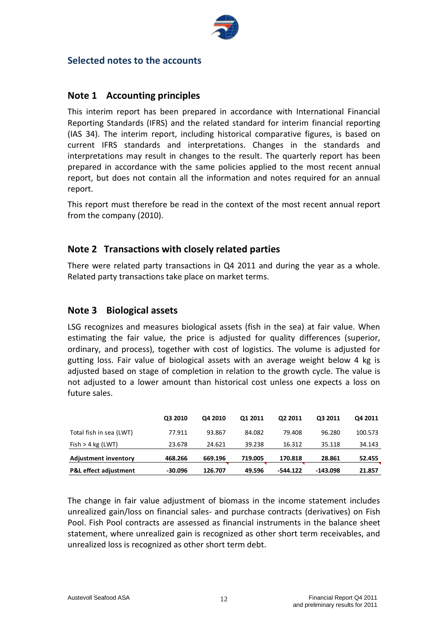

# **Selected notes to the accounts**

# **Note 1 Accounting principles**

This interim report has been prepared in accordance with International Financial Reporting Standards (IFRS) and the related standard for interim financial reporting (IAS 34). The interim report, including historical comparative figures, is based on current IFRS standards and interpretations. Changes in the standards and interpretations may result in changes to the result. The quarterly report has been prepared in accordance with the same policies applied to the most recent annual report, but does not contain all the information and notes required for an annual report.

This report must therefore be read in the context of the most recent annual report from the company (2010).

# **Note 2 Transactions with closely related parties**

There were related party transactions in Q4 2011 and during the year as a whole. Related party transactions take place on market terms.

# **Note 3 Biological assets**

LSG recognizes and measures biological assets (fish in the sea) at fair value. When estimating the fair value, the price is adjusted for quality differences (superior, ordinary, and process), together with cost of logistics. The volume is adjusted for gutting loss. Fair value of biological assets with an average weight below 4 kg is adjusted based on stage of completion in relation to the growth cycle. The value is not adjusted to a lower amount than historical cost unless one expects a loss on future sales.

|                                  | Q3 2010   | O4 2010 | 01 2011 | 02 2011  | O3 2011    | Q4 2011 |
|----------------------------------|-----------|---------|---------|----------|------------|---------|
| Total fish in sea (LWT)          | 77.911    | 93.867  | 84.082  | 79.408   | 96.280     | 100.573 |
| Fish > 4 kg (LWT)                | 23.678    | 24.621  | 39.238  | 16.312   | 35.118     | 34.143  |
| <b>Adjustment inventory</b>      | 468.266   | 669.196 | 719.005 | 170.818  | 28.861     | 52.455  |
| <b>P&amp;L</b> effect adjustment | $-30.096$ | 126.707 | 49.596  | -544.122 | $-143.098$ | 21.857  |

The change in fair value adjustment of biomass in the income statement includes unrealized gain/loss on financial sales- and purchase contracts (derivatives) on Fish Pool. Fish Pool contracts are assessed as financial instruments in the balance sheet statement, where unrealized gain is recognized as other short term receivables, and unrealized loss is recognized as other short term debt.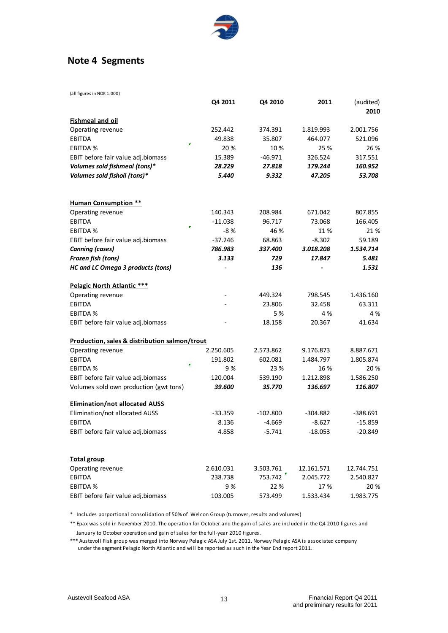

# **Note 4 Segments**

| (all figures in NOK 1.000)                    |           |            |            |                   |
|-----------------------------------------------|-----------|------------|------------|-------------------|
|                                               | Q4 2011   | Q4 2010    | 2011       | (audited)<br>2010 |
| <b>Fishmeal and oil</b>                       |           |            |            |                   |
| Operating revenue                             | 252.442   | 374.391    | 1.819.993  | 2.001.756         |
| <b>EBITDA</b>                                 | 49.838    | 35.807     | 464.077    | 521.096           |
| <b>EBITDA %</b>                               | 20 %      | 10%        | 25 %       | 26 %              |
| EBIT before fair value adj.biomass            | 15.389    | $-46.971$  | 326.524    | 317.551           |
| Volumes sold fishmeal (tons)*                 | 28.229    | 27.818     | 179.244    | 160.952           |
| Volumes sold fishoil (tons)*                  | 5.440     | 9.332      | 47.205     | 53.708            |
| <b>Human Consumption **</b>                   |           |            |            |                   |
| Operating revenue                             | 140.343   | 208.984    | 671.042    | 807.855           |
| <b>EBITDA</b>                                 | $-11.038$ | 96.717     | 73.068     | 166.405           |
| п<br><b>EBITDA %</b>                          | $-8%$     | 46 %       | 11 %       | 21%               |
| EBIT before fair value adj.biomass            | $-37.246$ | 68.863     | $-8.302$   | 59.189            |
| <b>Canning (cases)</b>                        | 786.983   | 337.400    | 3.018.208  | 1.534.714         |
| Frozen fish (tons)                            | 3.133     | 729        | 17.847     | 5.481             |
| <b>HC and LC Omega 3 products (tons)</b>      |           | 136        |            | 1.531             |
| Pelagic North Atlantic ***                    |           |            |            |                   |
| Operating revenue                             |           | 449.324    | 798.545    | 1.436.160         |
| <b>EBITDA</b>                                 |           | 23.806     | 32.458     | 63.311            |
| <b>EBITDA %</b>                               |           | 5 %        | 4 %        | 4 %               |
| EBIT before fair value adj.biomass            |           | 18.158     | 20.367     | 41.634            |
| Production, sales & distribution salmon/trout |           |            |            |                   |
| Operating revenue                             | 2.250.605 | 2.573.862  | 9.176.873  | 8.887.671         |
| <b>EBITDA</b>                                 | 191.802   | 602.081    | 1.484.797  | 1.805.874         |
| <b>EBITDA %</b>                               | 9%        | 23 %       | 16 %       | 20 %              |
| EBIT before fair value adj.biomass            | 120.004   | 539.190    | 1.212.898  | 1.586.250         |
| Volumes sold own production (gwt tons)        | 39.600    | 35.770     | 136.697    | 116.807           |
| <b>Elimination/not allocated AUSS</b>         |           |            |            |                   |
| Elimination/not allocated AUSS                | $-33.359$ | $-102.800$ | $-304.882$ | -388.691          |
| <b>EBITDA</b>                                 | 8.136     | $-4.669$   | $-8.627$   | $-15.859$         |
| EBIT before fair value adj.biomass            | 4.858     | $-5.741$   | $-18.053$  | $-20.849$         |
| <b>Total group</b>                            |           |            |            |                   |
| Operating revenue                             | 2.610.031 | 3.503.761  | 12.161.571 | 12.744.751        |
| EBITDA                                        | 238.738   | 753.742    | 2.045.772  | 2.540.827         |
| <b>EBITDA%</b>                                | 9%        | 22 %       | 17%        | 20%               |
| EBIT before fair value adj.biomass            | 103.005   | 573.499    | 1.533.434  | 1.983.775         |

\* Includes porportional consolidation of 50% of Welcon Group (turnover, results and volumes)

\*\* Epax was sold in November 2010. The operation for October and the gain of sales are included in the Q4 2010 figures and January to October operation and gain of sales for the full-year 2010 figures.

\*\*\* Austevoll Fisk group was merged into Norway Pelagic ASA July 1st. 2011. Norway Pelagic ASA is associated company under the segment Pelagic North Atlantic and will be reported as such in the Year End report 2011.